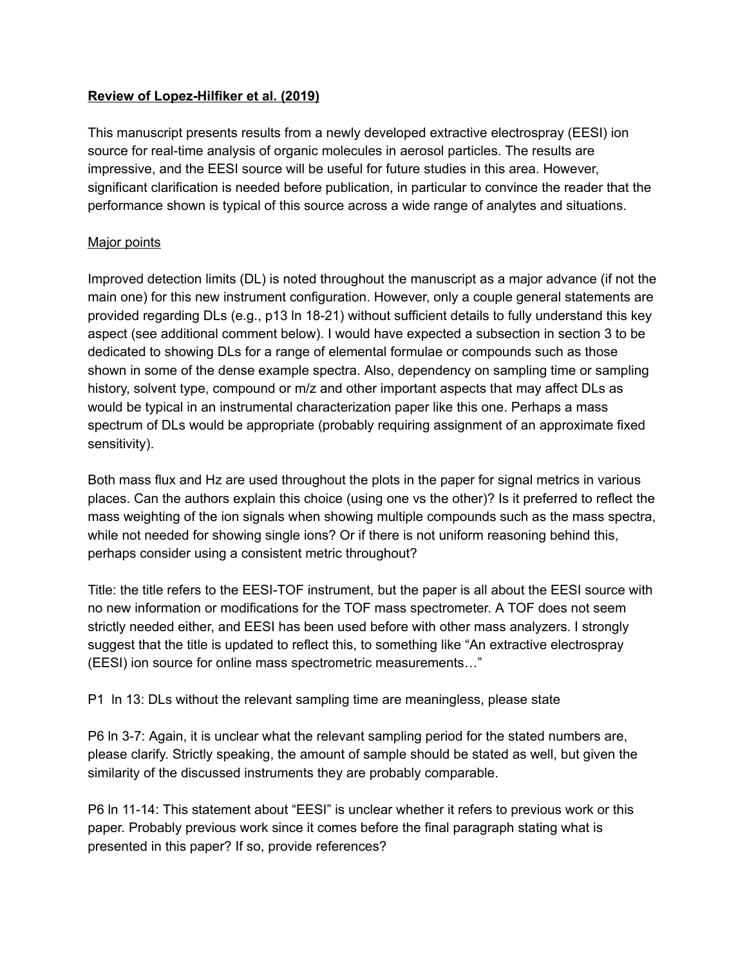## **Review of Lopez-Hilfiker et al. (2019)**

This manuscript presents results from a newly developed extractive electrospray (EESI) ion source for real-time analysis of organic molecules in aerosol particles. The results are impressive, and the EESI source will be useful for future studies in this area. However, significant clarification is needed before publication, in particular to convince the reader that the performance shown is typical of this source across a wide range of analytes and situations.

## Major points

Improved detection limits (DL) is noted throughout the manuscript as a major advance (if not the main one) for this new instrument configuration. However, only a couple general statements are provided regarding DLs (e.g., p13 ln 18-21) without sufficient details to fully understand this key aspect (see additional comment below). I would have expected a subsection in section 3 to be dedicated to showing DLs for a range of elemental formulae or compounds such as those shown in some of the dense example spectra. Also, dependency on sampling time or sampling history, solvent type, compound or m/z and other important aspects that may affect DLs as would be typical in an instrumental characterization paper like this one. Perhaps a mass spectrum of DLs would be appropriate (probably requiring assignment of an approximate fixed sensitivity).

Both mass flux and Hz are used throughout the plots in the paper for signal metrics in various places. Can the authors explain this choice (using one vs the other)? Is it preferred to reflect the mass weighting of the ion signals when showing multiple compounds such as the mass spectra, while not needed for showing single ions? Or if there is not uniform reasoning behind this, perhaps consider using a consistent metric throughout?

Title: the title refers to the EESI-TOF instrument, but the paper is all about the EESI source with no new information or modifications for the TOF mass spectrometer. A TOF does not seem strictly needed either, and EESI has been used before with other mass analyzers. I strongly suggest that the title is updated to reflect this, to something like "An extractive electrospray (EESI) ion source for online mass spectrometric measurements…"

P1 ln 13: DLs without the relevant sampling time are meaningless, please state

P6 ln 3-7: Again, it is unclear what the relevant sampling period for the stated numbers are, please clarify. Strictly speaking, the amount of sample should be stated as well, but given the similarity of the discussed instruments they are probably comparable.

P6 ln 11-14: This statement about "EESI" is unclear whether it refers to previous work or this paper. Probably previous work since it comes before the final paragraph stating what is presented in this paper? If so, provide references?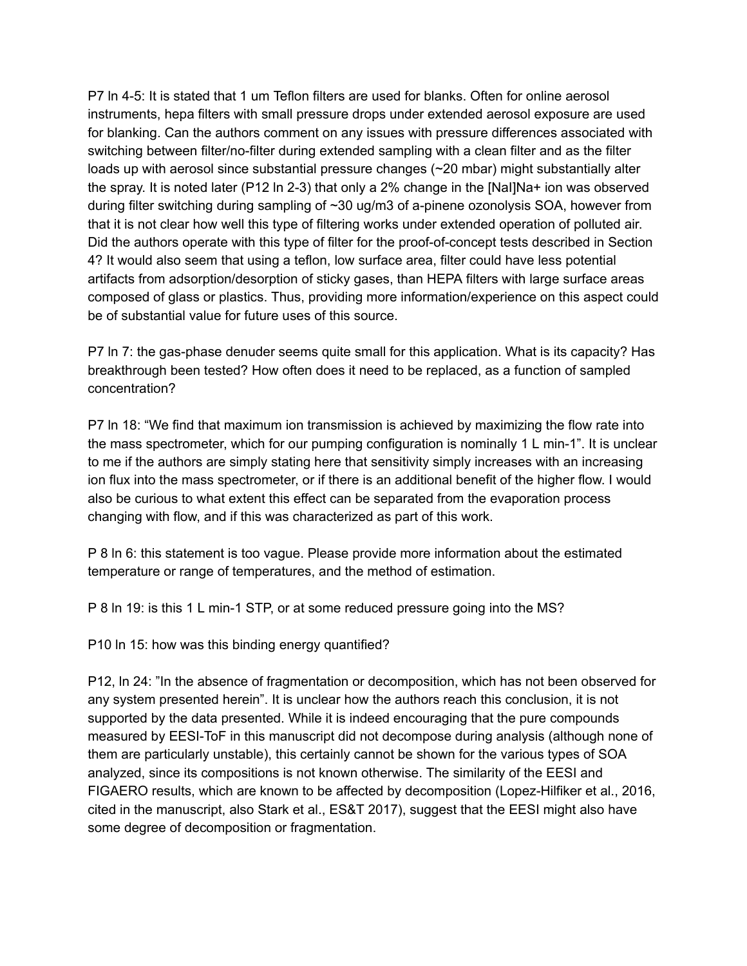P7 ln 4-5: It is stated that 1 um Teflon filters are used for blanks. Often for online aerosol instruments, hepa filters with small pressure drops under extended aerosol exposure are used for blanking. Can the authors comment on any issues with pressure differences associated with switching between filter/no-filter during extended sampling with a clean filter and as the filter loads up with aerosol since substantial pressure changes (~20 mbar) might substantially alter the spray. It is noted later (P12 ln 2-3) that only a 2% change in the [NaI]Na+ ion was observed during filter switching during sampling of ~30 ug/m3 of a-pinene ozonolysis SOA, however from that it is not clear how well this type of filtering works under extended operation of polluted air. Did the authors operate with this type of filter for the proof-of-concept tests described in Section 4? It would also seem that using a teflon, low surface area, filter could have less potential artifacts from adsorption/desorption of sticky gases, than HEPA filters with large surface areas composed of glass or plastics. Thus, providing more information/experience on this aspect could be of substantial value for future uses of this source.

P7 ln 7: the gas-phase denuder seems quite small for this application. What is its capacity? Has breakthrough been tested? How often does it need to be replaced, as a function of sampled concentration?

P7 ln 18: "We find that maximum ion transmission is achieved by maximizing the flow rate into the mass spectrometer, which for our pumping configuration is nominally 1 L min-1". It is unclear to me if the authors are simply stating here that sensitivity simply increases with an increasing ion flux into the mass spectrometer, or if there is an additional benefit of the higher flow. I would also be curious to what extent this effect can be separated from the evaporation process changing with flow, and if this was characterized as part of this work.

P 8 ln 6: this statement is too vague. Please provide more information about the estimated temperature or range of temperatures, and the method of estimation.

P 8 ln 19: is this 1 L min-1 STP, or at some reduced pressure going into the MS?

P10 ln 15: how was this binding energy quantified?

P12, ln 24: "In the absence of fragmentation or decomposition, which has not been observed for any system presented herein". It is unclear how the authors reach this conclusion, it is not supported by the data presented. While it is indeed encouraging that the pure compounds measured by EESI-ToF in this manuscript did not decompose during analysis (although none of them are particularly unstable), this certainly cannot be shown for the various types of SOA analyzed, since its compositions is not known otherwise. The similarity of the EESI and FIGAERO results, which are known to be affected by decomposition (Lopez-Hilfiker et al., 2016, cited in the manuscript, also Stark et al., ES&T 2017), suggest that the EESI might also have some degree of decomposition or fragmentation.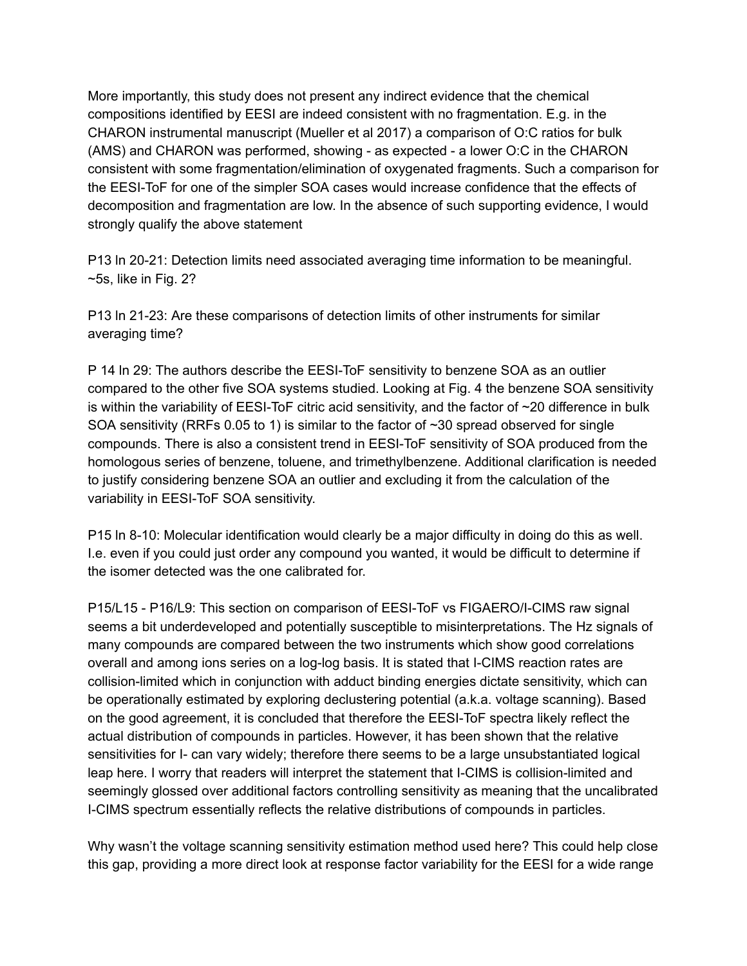More importantly, this study does not present any indirect evidence that the chemical compositions identified by EESI are indeed consistent with no fragmentation. E.g. in the CHARON instrumental manuscript (Mueller et al 2017) a comparison of O:C ratios for bulk (AMS) and CHARON was performed, showing - as expected - a lower O:C in the CHARON consistent with some fragmentation/elimination of oxygenated fragments. Such a comparison for the EESI-ToF for one of the simpler SOA cases would increase confidence that the effects of decomposition and fragmentation are low. In the absence of such supporting evidence, I would strongly qualify the above statement

P13 ln 20-21: Detection limits need associated averaging time information to be meaningful.  $\sim$ 5s, like in Fig. 2?

P13 ln 21-23: Are these comparisons of detection limits of other instruments for similar averaging time?

P 14 ln 29: The authors describe the EESI-ToF sensitivity to benzene SOA as an outlier compared to the other five SOA systems studied. Looking at Fig. 4 the benzene SOA sensitivity is within the variability of EESI-ToF citric acid sensitivity, and the factor of ~20 difference in bulk SOA sensitivity (RRFs 0.05 to 1) is similar to the factor of ~30 spread observed for single compounds. There is also a consistent trend in EESI-ToF sensitivity of SOA produced from the homologous series of benzene, toluene, and trimethylbenzene. Additional clarification is needed to justify considering benzene SOA an outlier and excluding it from the calculation of the variability in EESI-ToF SOA sensitivity.

P15 ln 8-10: Molecular identification would clearly be a major difficulty in doing do this as well. I.e. even if you could just order any compound you wanted, it would be difficult to determine if the isomer detected was the one calibrated for.

P15/L15 - P16/L9: This section on comparison of EESI-ToF vs FIGAERO/I-CIMS raw signal seems a bit underdeveloped and potentially susceptible to misinterpretations. The Hz signals of many compounds are compared between the two instruments which show good correlations overall and among ions series on a log-log basis. It is stated that I-CIMS reaction rates are collision-limited which in conjunction with adduct binding energies dictate sensitivity, which can be operationally estimated by exploring declustering potential (a.k.a. voltage scanning). Based on the good agreement, it is concluded that therefore the EESI-ToF spectra likely reflect the actual distribution of compounds in particles. However, it has been shown that the relative sensitivities for I- can vary widely; therefore there seems to be a large unsubstantiated logical leap here. I worry that readers will interpret the statement that I-CIMS is collision-limited and seemingly glossed over additional factors controlling sensitivity as meaning that the uncalibrated I-CIMS spectrum essentially reflects the relative distributions of compounds in particles.

Why wasn't the voltage scanning sensitivity estimation method used here? This could help close this gap, providing a more direct look at response factor variability for the EESI for a wide range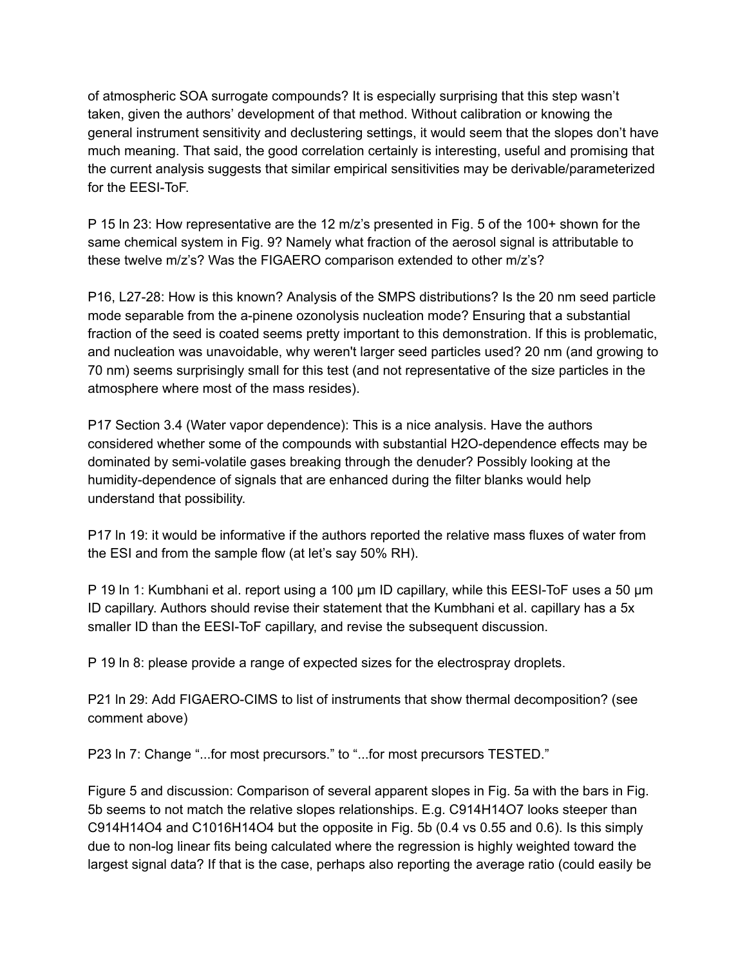of atmospheric SOA surrogate compounds? It is especially surprising that this step wasn't taken, given the authors' development of that method. Without calibration or knowing the general instrument sensitivity and declustering settings, it would seem that the slopes don't have much meaning. That said, the good correlation certainly is interesting, useful and promising that the current analysis suggests that similar empirical sensitivities may be derivable/parameterized for the EESI-ToF.

P 15 ln 23: How representative are the 12 m/z's presented in Fig. 5 of the 100+ shown for the same chemical system in Fig. 9? Namely what fraction of the aerosol signal is attributable to these twelve m/z's? Was the FIGAERO comparison extended to other m/z's?

P16, L27-28: How is this known? Analysis of the SMPS distributions? Is the 20 nm seed particle mode separable from the a-pinene ozonolysis nucleation mode? Ensuring that a substantial fraction of the seed is coated seems pretty important to this demonstration. If this is problematic, and nucleation was unavoidable, why weren't larger seed particles used? 20 nm (and growing to 70 nm) seems surprisingly small for this test (and not representative of the size particles in the atmosphere where most of the mass resides).

P17 Section 3.4 (Water vapor dependence): This is a nice analysis. Have the authors considered whether some of the compounds with substantial H2O-dependence effects may be dominated by semi-volatile gases breaking through the denuder? Possibly looking at the humidity-dependence of signals that are enhanced during the filter blanks would help understand that possibility.

P17 ln 19: it would be informative if the authors reported the relative mass fluxes of water from the ESI and from the sample flow (at let's say 50% RH).

P 19 In 1: Kumbhani et al. report using a 100 µm ID capillary, while this EESI-ToF uses a 50 µm ID capillary. Authors should revise their statement that the Kumbhani et al. capillary has a 5x smaller ID than the EESI-ToF capillary, and revise the subsequent discussion.

P 19 ln 8: please provide a range of expected sizes for the electrospray droplets.

P21 ln 29: Add FIGAERO-CIMS to list of instruments that show thermal decomposition? (see comment above)

P23 ln 7: Change "...for most precursors." to "...for most precursors TESTED."

Figure 5 and discussion: Comparison of several apparent slopes in Fig. 5a with the bars in Fig. 5b seems to not match the relative slopes relationships. E.g. C914H14O7 looks steeper than C914H14O4 and C1016H14O4 but the opposite in Fig. 5b (0.4 vs 0.55 and 0.6). Is this simply due to non-log linear fits being calculated where the regression is highly weighted toward the largest signal data? If that is the case, perhaps also reporting the average ratio (could easily be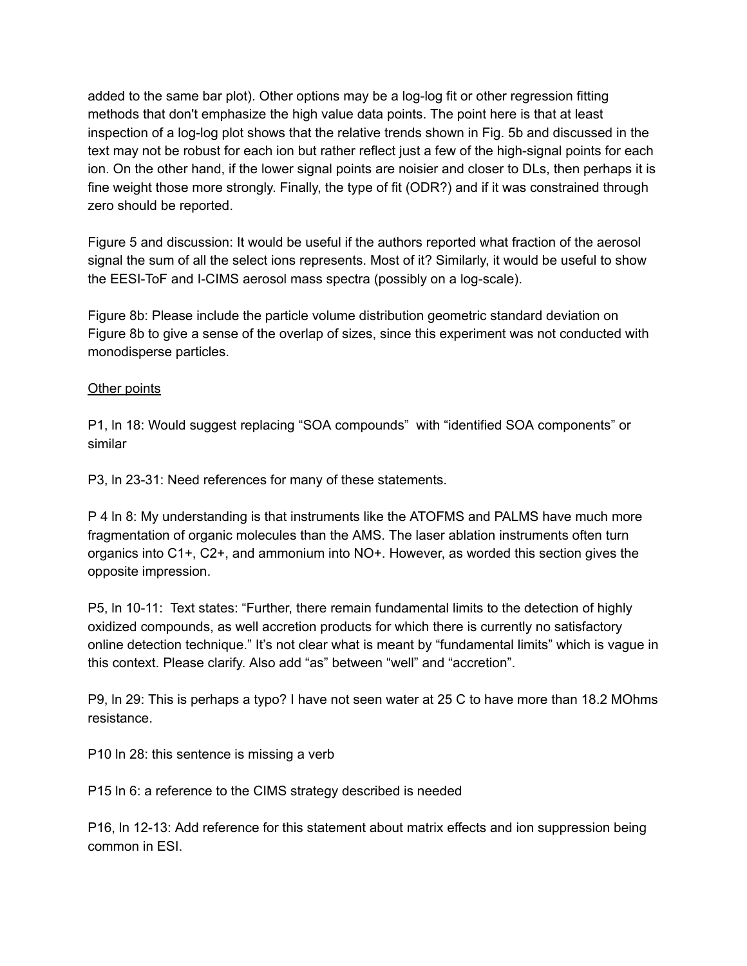added to the same bar plot). Other options may be a log-log fit or other regression fitting methods that don't emphasize the high value data points. The point here is that at least inspection of a log-log plot shows that the relative trends shown in Fig. 5b and discussed in the text may not be robust for each ion but rather reflect just a few of the high-signal points for each ion. On the other hand, if the lower signal points are noisier and closer to DLs, then perhaps it is fine weight those more strongly. Finally, the type of fit (ODR?) and if it was constrained through zero should be reported.

Figure 5 and discussion: It would be useful if the authors reported what fraction of the aerosol signal the sum of all the select ions represents. Most of it? Similarly, it would be useful to show the EESI-ToF and I-CIMS aerosol mass spectra (possibly on a log-scale).

Figure 8b: Please include the particle volume distribution geometric standard deviation on Figure 8b to give a sense of the overlap of sizes, since this experiment was not conducted with monodisperse particles.

## Other points

P1, ln 18: Would suggest replacing "SOA compounds" with "identified SOA components" or similar

P3, ln 23-31: Need references for many of these statements.

P 4 ln 8: My understanding is that instruments like the ATOFMS and PALMS have much more fragmentation of organic molecules than the AMS. The laser ablation instruments often turn organics into C1+, C2+, and ammonium into NO+. However, as worded this section gives the opposite impression.

P5, ln 10-11: Text states: "Further, there remain fundamental limits to the detection of highly oxidized compounds, as well accretion products for which there is currently no satisfactory online detection technique." It's not clear what is meant by "fundamental limits" which is vague in this context. Please clarify. Also add "as" between "well" and "accretion".

P9, ln 29: This is perhaps a typo? I have not seen water at 25 C to have more than 18.2 MOhms resistance.

P10 ln 28: this sentence is missing a verb

P15 ln 6: a reference to the CIMS strategy described is needed

P16, ln 12-13: Add reference for this statement about matrix effects and ion suppression being common in ESI.